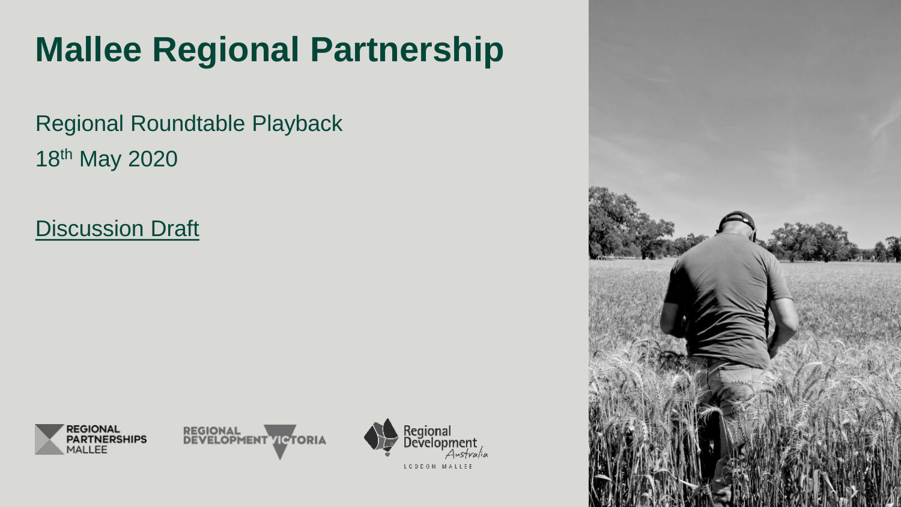# **Mallee Regional Partnership**

Regional Roundtable Playback 18th May 2020

Discussion Draft







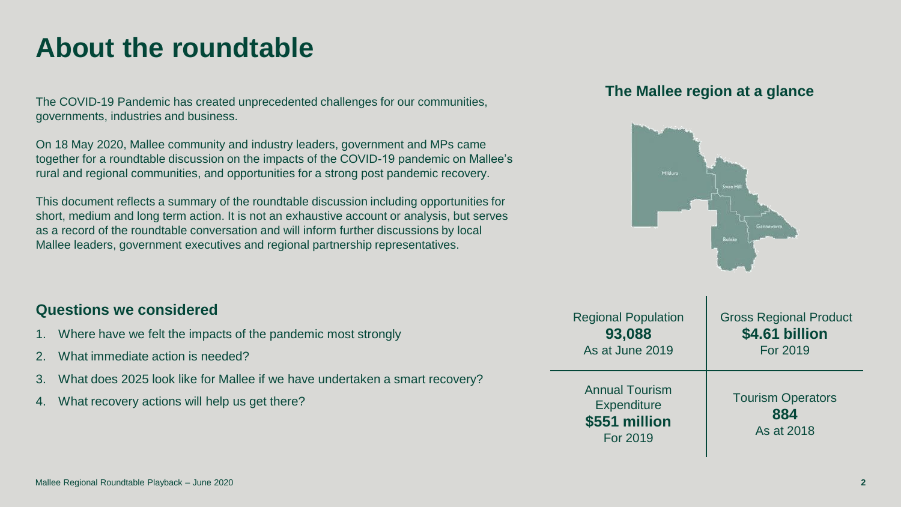# **About the roundtable**

The COVID-19 Pandemic has created unprecedented challenges for our communities, governments, industries and business.

On 18 May 2020, Mallee community and industry leaders, government and MPs came together for a roundtable discussion on the impacts of the COVID-19 pandemic on Mallee's rural and regional communities, and opportunities for a strong post pandemic recovery.

This document reflects a summary of the roundtable discussion including opportunities for short, medium and long term action. It is not an exhaustive account or analysis, but serves as a record of the roundtable conversation and will inform further discussions by local Mallee leaders, government executives and regional partnership representatives.

# **The Mallee region at a glance**



| QUESTIONS WE CONSIGERED |                                                                                | <b>Regional Population</b>                                        | <b>Gross Regional Product</b>                 |
|-------------------------|--------------------------------------------------------------------------------|-------------------------------------------------------------------|-----------------------------------------------|
|                         | 1. Where have we felt the impacts of the pandemic most strongly                | 93,088                                                            | \$4.61 billion                                |
|                         | 2. What immediate action is needed?                                            | As at June 2019                                                   | For 2019                                      |
|                         | 3. What does 2025 look like for Mallee if we have undertaken a smart recovery? | <b>Annual Tourism</b><br>Expenditure<br>\$551 million<br>For 2019 |                                               |
|                         | 4. What recovery actions will help us get there?                               |                                                                   | <b>Tourism Operators</b><br>884<br>As at 2018 |

**Questions we considered**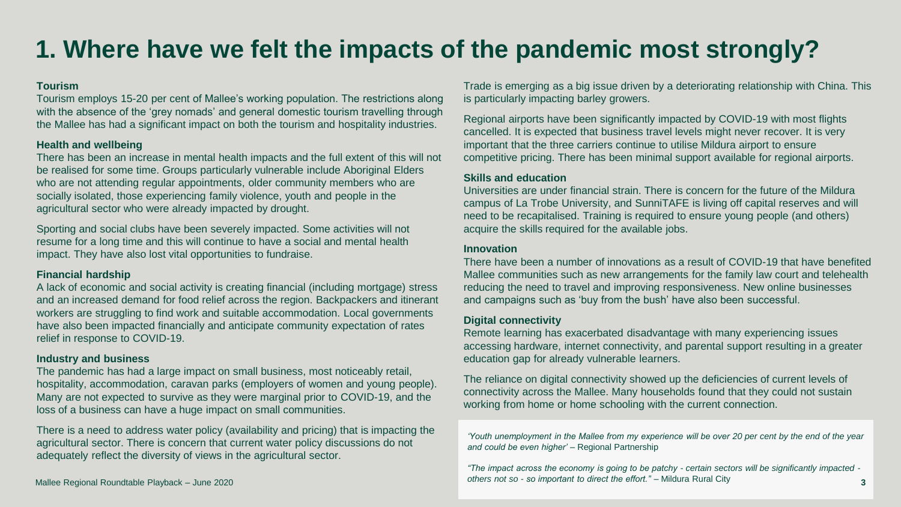# **1. Where have we felt the impacts of the pandemic most strongly?**

#### **Tourism**

Tourism employs 15-20 per cent of Mallee's working population. The restrictions along with the absence of the 'grey nomads' and general domestic tourism travelling through the Mallee has had a significant impact on both the tourism and hospitality industries.

#### **Health and wellbeing**

There has been an increase in mental health impacts and the full extent of this will not be realised for some time. Groups particularly vulnerable include Aboriginal Elders who are not attending regular appointments, older community members who are socially isolated, those experiencing family violence, youth and people in the agricultural sector who were already impacted by drought.

Sporting and social clubs have been severely impacted. Some activities will not resume for a long time and this will continue to have a social and mental health impact. They have also lost vital opportunities to fundraise.

#### **Financial hardship**

A lack of economic and social activity is creating financial (including mortgage) stress and an increased demand for food relief across the region. Backpackers and itinerant workers are struggling to find work and suitable accommodation. Local governments have also been impacted financially and anticipate community expectation of rates relief in response to COVID-19.

#### **Industry and business**

The pandemic has had a large impact on small business, most noticeably retail, hospitality, accommodation, caravan parks (employers of women and young people). Many are not expected to survive as they were marginal prior to COVID-19, and the loss of a business can have a huge impact on small communities.

There is a need to address water policy (availability and pricing) that is impacting the agricultural sector. There is concern that current water policy discussions do not adequately reflect the diversity of views in the agricultural sector.

Trade is emerging as a big issue driven by a deteriorating relationship with China. This is particularly impacting barley growers.

Regional airports have been significantly impacted by COVID-19 with most flights cancelled. It is expected that business travel levels might never recover. It is very important that the three carriers continue to utilise Mildura airport to ensure competitive pricing. There has been minimal support available for regional airports.

#### **Skills and education**

Universities are under financial strain. There is concern for the future of the Mildura campus of La Trobe University, and SunniTAFE is living off capital reserves and will need to be recapitalised. Training is required to ensure young people (and others) acquire the skills required for the available jobs.

#### **Innovation**

There have been a number of innovations as a result of COVID-19 that have benefited Mallee communities such as new arrangements for the family law court and telehealth reducing the need to travel and improving responsiveness. New online businesses and campaigns such as 'buy from the bush' have also been successful.

#### **Digital connectivity**

Remote learning has exacerbated disadvantage with many experiencing issues accessing hardware, internet connectivity, and parental support resulting in a greater education gap for already vulnerable learners.

The reliance on digital connectivity showed up the deficiencies of current levels of connectivity across the Mallee. Many households found that they could not sustain working from home or home schooling with the current connection.

*'Youth unemployment in the Mallee from my experience will be over 20 per cent by the end of the year and could be even higher'* – Regional Partnership

*"The impact across the economy is going to be patchy - certain sectors will be significantly impacted others not so - so important to direct the effort."* – Mildura Rural City Mallee Regional Roundtable Playback – June 2020 **3**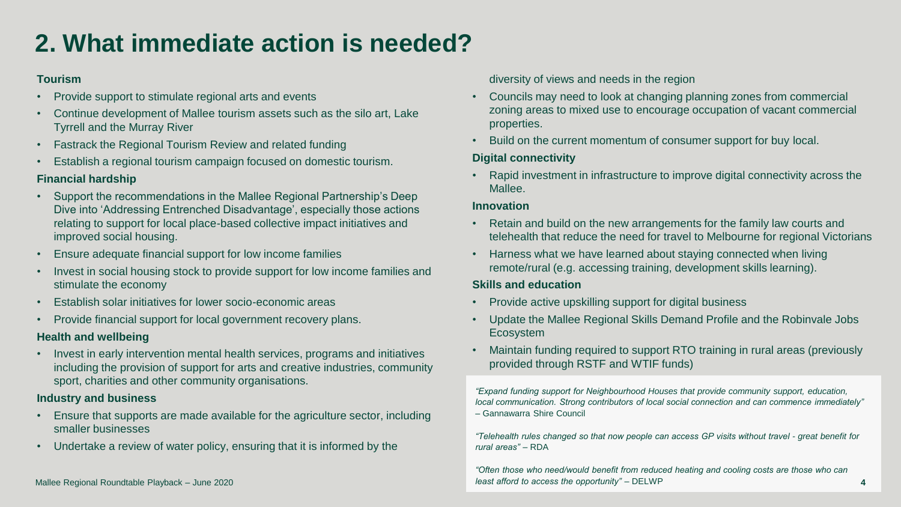# **2. What immediate action is needed?**

### **Tourism**

- Provide support to stimulate regional arts and events
- Continue development of Mallee tourism assets such as the silo art, Lake Tyrrell and the Murray River
- Fastrack the Regional Tourism Review and related funding
- Establish a regional tourism campaign focused on domestic tourism.

### **Financial hardship**

- Support the recommendations in the Mallee Regional Partnership's Deep Dive into 'Addressing Entrenched Disadvantage', especially those actions relating to support for local place-based collective impact initiatives and improved social housing.
- Ensure adequate financial support for low income families
- Invest in social housing stock to provide support for low income families and stimulate the economy
- Establish solar initiatives for lower socio-economic areas
- Provide financial support for local government recovery plans.

### **Health and wellbeing**

• Invest in early intervention mental health services, programs and initiatives including the provision of support for arts and creative industries, community sport, charities and other community organisations.

### **Industry and business**

- Ensure that supports are made available for the agriculture sector, including smaller businesses
- Undertake a review of water policy, ensuring that it is informed by the

diversity of views and needs in the region

- Councils may need to look at changing planning zones from commercial zoning areas to mixed use to encourage occupation of vacant commercial properties.
- Build on the current momentum of consumer support for buy local.

### **Digital connectivity**

• Rapid investment in infrastructure to improve digital connectivity across the Mallee.

#### **Innovation**

- Retain and build on the new arrangements for the family law courts and telehealth that reduce the need for travel to Melbourne for regional Victorians
- Harness what we have learned about staying connected when living remote/rural (e.g. accessing training, development skills learning).

### **Skills and education**

- Provide active upskilling support for digital business
- Update the Mallee Regional Skills Demand Profile and the Robinvale Jobs Ecosystem
- Maintain funding required to support RTO training in rural areas (previously provided through RSTF and WTIF funds)

*"Expand funding support for Neighbourhood Houses that provide community support, education, local communication. Strong contributors of local social connection and can commence immediately"*  – Gannawarra Shire Council

*"Telehealth rules changed so that now people can access GP visits without travel - great benefit for rural areas"* – RDA

*"Often those who need/would benefit from reduced heating and cooling costs are those who can least afford to access the opportunity" –* DELWP **4**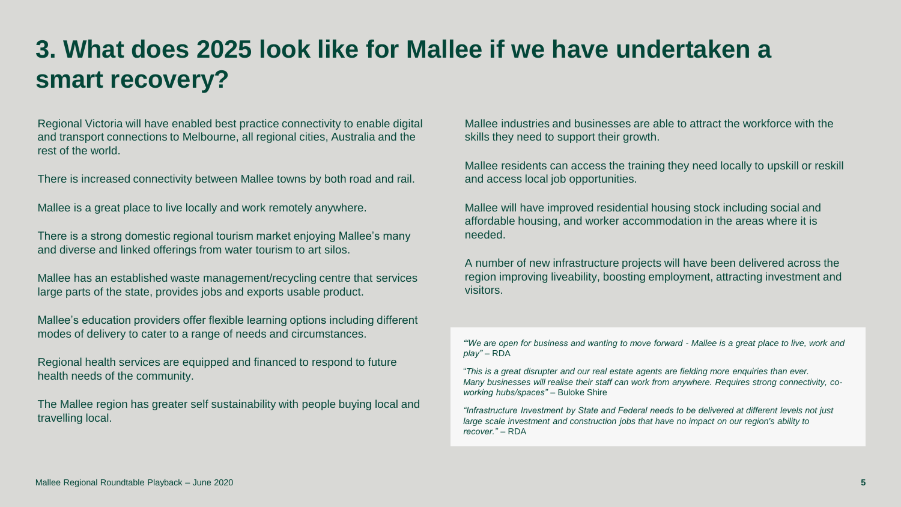# **3. What does 2025 look like for Mallee if we have undertaken a smart recovery?**

Regional Victoria will have enabled best practice connectivity to enable digital and transport connections to Melbourne, all regional cities, Australia and the rest of the world.

There is increased connectivity between Mallee towns by both road and rail.

Mallee is a great place to live locally and work remotely anywhere.

There is a strong domestic regional tourism market enjoying Mallee's many and diverse and linked offerings from water tourism to art silos.

Mallee has an established waste management/recycling centre that services large parts of the state, provides jobs and exports usable product.

Mallee's education providers offer flexible learning options including different modes of delivery to cater to a range of needs and circumstances.

Regional health services are equipped and financed to respond to future health needs of the community.

The Mallee region has greater self sustainability with people buying local and travelling local.

Mallee industries and businesses are able to attract the workforce with the skills they need to support their growth.

Mallee residents can access the training they need locally to upskill or reskill and access local job opportunities.

Mallee will have improved residential housing stock including social and affordable housing, and worker accommodation in the areas where it is needed.

A number of new infrastructure projects will have been delivered across the region improving liveability, boosting employment, attracting investment and visitors.

*"'We are open for business and wanting to move forward - Mallee is a great place to live, work and play"* – RDA

"*This is a great disrupter and our real estate agents are fielding more enquiries than ever. Many businesses will realise their staff can work from anywhere. Requires strong connectivity, coworking hubs/spaces"* – Buloke Shire

*"Infrastructure Investment by State and Federal needs to be delivered at different levels not just large scale investment and construction jobs that have no impact on our region's ability to recover."* – RDA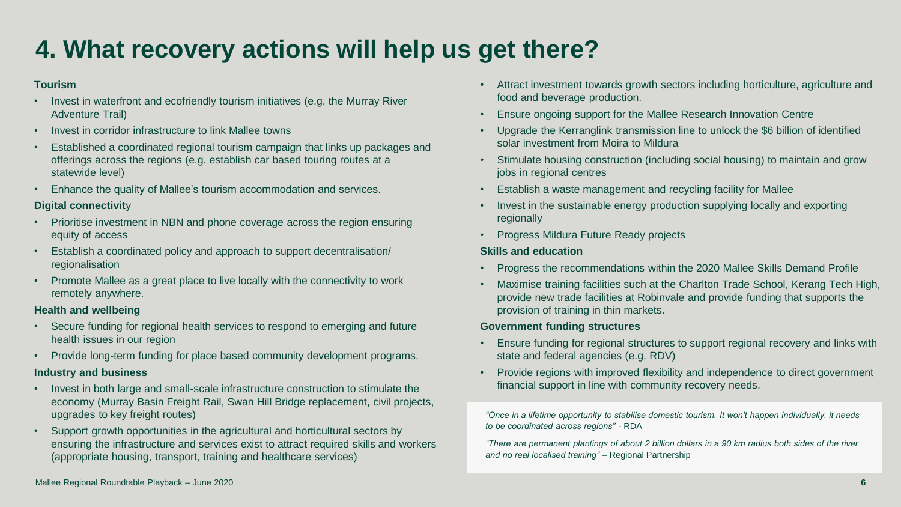# **4. What recovery actions will help us get there?**

#### **Tourism**

- Invest in waterfront and ecofriendly tourism initiatives (e.g. the Murray River Adventure Trail)
- Invest in corridor infrastructure to link Mallee towns
- Established a coordinated regional tourism campaign that links up packages and offerings across the regions (e.g. establish car based touring routes at a statewide level)
- Enhance the quality of Mallee's tourism accommodation and services.

#### **Digital connectivit**y

- Prioritise investment in NBN and phone coverage across the region ensuring equity of access
- Establish a coordinated policy and approach to support decentralisation/ regionalisation
- Promote Mallee as a great place to live locally with the connectivity to work remotely anywhere.

#### **Health and wellbeing**

- Secure funding for regional health services to respond to emerging and future health issues in our region
- Provide long-term funding for place based community development programs.

#### **Industry and business**

- Invest in both large and small-scale infrastructure construction to stimulate the economy (Murray Basin Freight Rail, Swan Hill Bridge replacement, civil projects, upgrades to key freight routes)
- Support growth opportunities in the agricultural and horticultural sectors by ensuring the infrastructure and services exist to attract required skills and workers (appropriate housing, transport, training and healthcare services)
- Attract investment towards growth sectors including horticulture, agriculture and food and beverage production.
- Ensure ongoing support for the Mallee Research Innovation Centre
- Upgrade the Kerranglink transmission line to unlock the \$6 billion of identified solar investment from Moira to Mildura
- Stimulate housing construction (including social housing) to maintain and grow jobs in regional centres
- Establish a waste management and recycling facility for Mallee
- Invest in the sustainable energy production supplying locally and exporting regionally
- Progress Mildura Future Ready projects

#### **Skills and education**

- Progress the recommendations within the 2020 Mallee Skills Demand Profile
- Maximise training facilities such at the Charlton Trade School, Kerang Tech High, provide new trade facilities at Robinvale and provide funding that supports the provision of training in thin markets.

#### **Government funding structures**

- Ensure funding for regional structures to support regional recovery and links with state and federal agencies (e.g. RDV)
- Provide regions with improved flexibility and independence to direct government financial support in line with community recovery needs.

*"Once in a lifetime opportunity to stabilise domestic tourism. It won't happen individually, it needs to be coordinated across regions" -* RDA

*"There are permanent plantings of about 2 billion dollars in a 90 km radius both sides of the river and no real localised training" –* Regional Partnership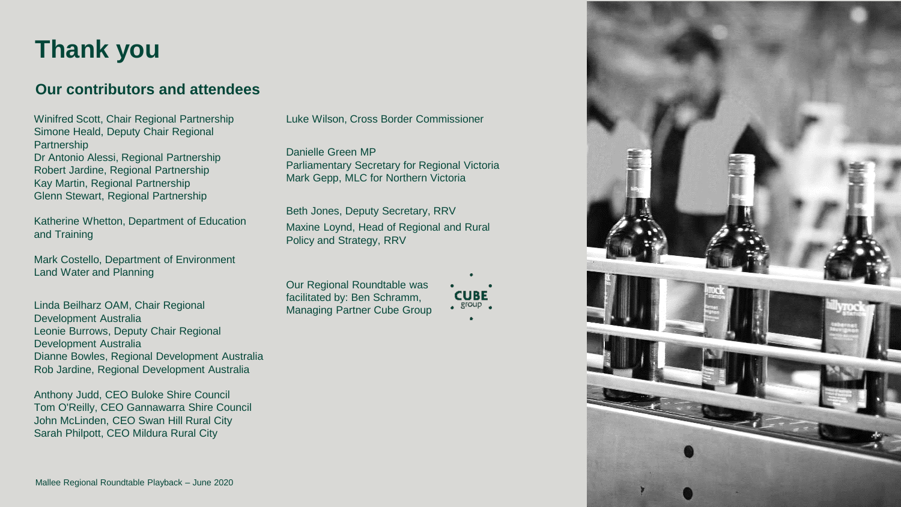# **Thank you**

### **Our contributors and attendees**

Winifred Scott, Chair Regional Partnership Simone Heald, Deputy Chair Regional **Partnership** Dr Antonio Alessi, Regional Partnership Robert Jardine, Regional Partnership Kay Martin, Regional Partnership Glenn Stewart, Regional Partnership

Katherine Whetton, Department of Education and Training

Mark Costello, Department of Environment Land Water and Planning

Linda Beilharz OAM, Chair Regional Development Australia Leonie Burrows, Deputy Chair Regional Development Australia Dianne Bowles, Regional Development Australia Rob Jardine, Regional Development Australia

Anthony Judd, CEO Buloke Shire Council Tom O'Reilly, CEO Gannawarra Shire Council John McLinden, CEO Swan Hill Rural City Sarah Philpott, CEO Mildura Rural City

Luke Wilson, Cross Border Commissioner

Danielle Green MP Parliamentary Secretary for Regional Victoria Mark Gepp, MLC for Northern Victoria

Beth Jones, Deputy Secretary, RRV Maxine Loynd, Head of Regional and Rural Policy and Strategy, RRV

Our Regional Roundtable was facilitated by: Ben Schramm, Managing Partner Cube Group